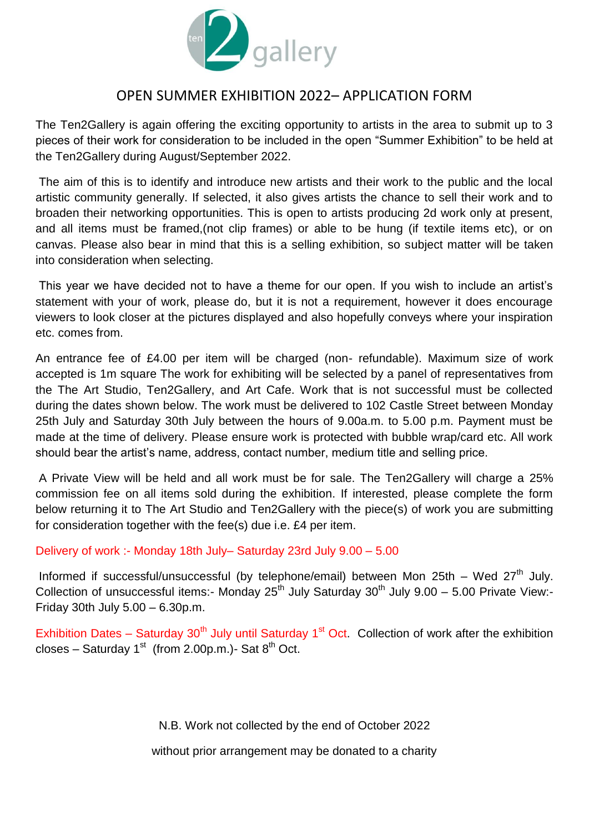

# OPEN SUMMER EXHIBITION 2022– APPLICATION FORM

The Ten2Gallery is again offering the exciting opportunity to artists in the area to submit up to 3 pieces of their work for consideration to be included in the open "Summer Exhibition" to be held at the Ten2Gallery during August/September 2022.

The aim of this is to identify and introduce new artists and their work to the public and the local artistic community generally. If selected, it also gives artists the chance to sell their work and to broaden their networking opportunities. This is open to artists producing 2d work only at present, and all items must be framed,(not clip frames) or able to be hung (if textile items etc), or on canvas. Please also bear in mind that this is a selling exhibition, so subject matter will be taken into consideration when selecting.

This year we have decided not to have a theme for our open. If you wish to include an artist's statement with your of work, please do, but it is not a requirement, however it does encourage viewers to look closer at the pictures displayed and also hopefully conveys where your inspiration etc. comes from.

An entrance fee of £4.00 per item will be charged (non- refundable). Maximum size of work accepted is 1m square The work for exhibiting will be selected by a panel of representatives from the The Art Studio, Ten2Gallery, and Art Cafe. Work that is not successful must be collected during the dates shown below. The work must be delivered to 102 Castle Street between Monday 25th July and Saturday 30th July between the hours of 9.00a.m. to 5.00 p.m. Payment must be made at the time of delivery. Please ensure work is protected with bubble wrap/card etc. All work should bear the artist's name, address, contact number, medium title and selling price.

A Private View will be held and all work must be for sale. The Ten2Gallery will charge a 25% commission fee on all items sold during the exhibition. If interested, please complete the form below returning it to The Art Studio and Ten2Gallery with the piece(s) of work you are submitting for consideration together with the fee(s) due i.e. £4 per item.

Delivery of work :- Monday 18th July– Saturday 23rd July 9.00 – 5.00

Informed if successful/unsuccessful (by telephone/email) between Mon 25th – Wed  $27<sup>th</sup>$  July. Collection of unsuccessful items:- Monday  $25<sup>th</sup>$  July Saturday  $30<sup>th</sup>$  July 9.00 – 5.00 Private View:-Friday 30th July 5.00 – 6.30p.m.

Exhibition Dates – Saturday 30<sup>th</sup> July until Saturday 1<sup>st</sup> Oct. Collection of work after the exhibition closes – Saturday 1<sup>st</sup> (from 2.00p.m.)- Sat  $8<sup>th</sup>$  Oct.

N.B. Work not collected by the end of October 2022

without prior arrangement may be donated to a charity